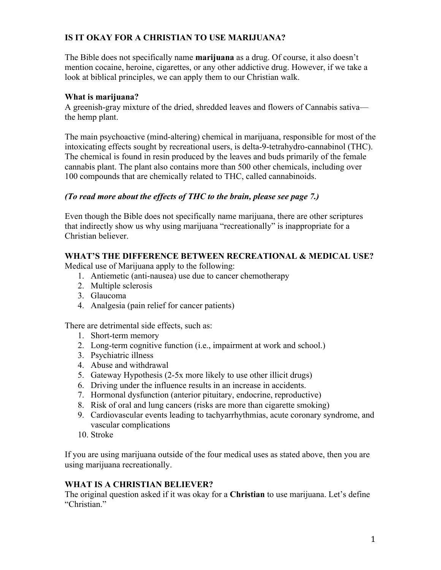# **IS IT OKAY FOR A CHRISTIAN TO USE MARIJUANA?**

The Bible does not specifically name **marijuana** as a drug. Of course, it also doesn't mention cocaine, heroine, cigarettes, or any other addictive drug. However, if we take a look at biblical principles, we can apply them to our Christian walk.

### **What is marijuana?**

A greenish-gray mixture of the dried, shredded leaves and flowers of Cannabis sativa the hemp plant.

The main psychoactive (mind-altering) chemical in marijuana, responsible for most of the intoxicating effects sought by recreational users, is delta-9-tetrahydro-cannabinol (THC). The chemical is found in resin produced by the leaves and buds primarily of the female cannabis plant. The plant also contains more than 500 other chemicals, including over 100 compounds that are chemically related to THC, called cannabinoids.

# *(To read more about the effects of THC to the brain, please see page 7.)*

Even though the Bible does not specifically name marijuana, there are other scriptures that indirectly show us why using marijuana "recreationally" is inappropriate for a Christian believer.

# **WHAT'S THE DIFFERENCE BETWEEN RECREATIONAL & MEDICAL USE?**

Medical use of Marijuana apply to the following:

- 1. Antiemetic (anti-nausea) use due to cancer chemotherapy
- 2. Multiple sclerosis
- 3. Glaucoma
- 4. Analgesia (pain relief for cancer patients)

There are detrimental side effects, such as:

- 1. Short-term memory
- 2. Long-term cognitive function (i.e., impairment at work and school.)
- 3. Psychiatric illness
- 4. Abuse and withdrawal
- 5. Gateway Hypothesis (2-5x more likely to use other illicit drugs)
- 6. Driving under the influence results in an increase in accidents.
- 7. Hormonal dysfunction (anterior pituitary, endocrine, reproductive)
- 8. Risk of oral and lung cancers (risks are more than cigarette smoking)
- 9. Cardiovascular events leading to tachyarrhythmias, acute coronary syndrome, and vascular complications
- 10. Stroke

If you are using marijuana outside of the four medical uses as stated above, then you are using marijuana recreationally.

# **WHAT IS A CHRISTIAN BELIEVER?**

The original question asked if it was okay for a **Christian** to use marijuana. Let's define "Christian."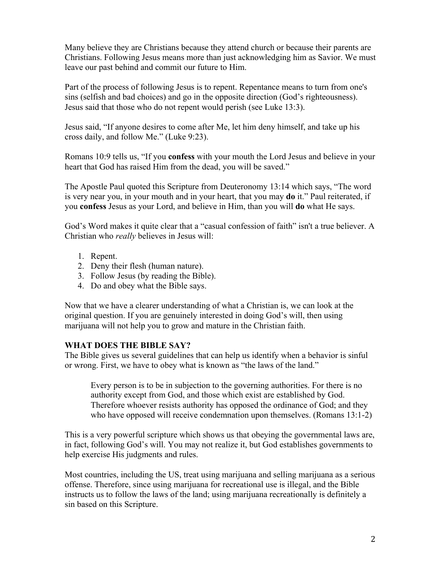Many believe they are Christians because they attend church or because their parents are Christians. Following Jesus means more than just acknowledging him as Savior. We must leave our past behind and commit our future to Him.

Part of the process of following Jesus is to repent. Repentance means to turn from one's sins (selfish and bad choices) and go in the opposite direction (God's righteousness). Jesus said that those who do not repent would perish (see Luke 13:3).

Jesus said, "If anyone desires to come after Me, let him deny himself, and take up his cross daily, and follow Me." (Luke 9:23).

Romans 10:9 tells us, "If you **confess** with your mouth the Lord Jesus and believe in your heart that God has raised Him from the dead, you will be saved."

The Apostle Paul quoted this Scripture from Deuteronomy 13:14 which says, "The word is very near you, in your mouth and in your heart, that you may **do** it." Paul reiterated, if you **confess** Jesus as your Lord, and believe in Him, than you will **do** what He says.

God's Word makes it quite clear that a "casual confession of faith" isn't a true believer. A Christian who *really* believes in Jesus will:

- 1. Repent.
- 2. Deny their flesh (human nature).
- 3. Follow Jesus (by reading the Bible).
- 4. Do and obey what the Bible says.

Now that we have a clearer understanding of what a Christian is, we can look at the original question. If you are genuinely interested in doing God's will, then using marijuana will not help you to grow and mature in the Christian faith.

### **WHAT DOES THE BIBLE SAY?**

The Bible gives us several guidelines that can help us identify when a behavior is sinful or wrong. First, we have to obey what is known as "the laws of the land."

Every person is to be in subjection to the governing authorities. For there is no authority except from God, and those which exist are established by God. Therefore whoever resists authority has opposed the ordinance of God; and they who have opposed will receive condemnation upon themselves. (Romans 13:1-2)

This is a very powerful scripture which shows us that obeying the governmental laws are, in fact, following God's will. You may not realize it, but God establishes governments to help exercise His judgments and rules.

Most countries, including the US, treat using marijuana and selling marijuana as a serious offense. Therefore, since using marijuana for recreational use is illegal, and the Bible instructs us to follow the laws of the land; using marijuana recreationally is definitely a sin based on this Scripture.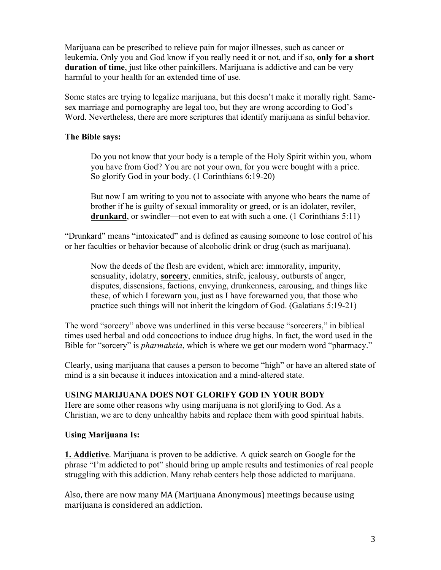Marijuana can be prescribed to relieve pain for major illnesses, such as cancer or leukemia. Only you and God know if you really need it or not, and if so, **only for a short duration of time**, just like other painkillers. Marijuana is addictive and can be very harmful to your health for an extended time of use.

Some states are trying to legalize marijuana, but this doesn't make it morally right. Samesex marriage and pornography are legal too, but they are wrong according to God's Word. Nevertheless, there are more scriptures that identify marijuana as sinful behavior.

#### **The Bible says:**

Do you not know that your body is a temple of the Holy Spirit within you, whom you have from God? You are not your own, for you were bought with a price. So glorify God in your body. (1 Corinthians 6:19-20)

But now I am writing to you not to associate with anyone who bears the name of brother if he is guilty of sexual immorality or greed, or is an idolater, reviler, **drunkard**, or swindler—not even to eat with such a one. (1 Corinthians 5:11)

"Drunkard" means "intoxicated" and is defined as causing someone to lose control of his or her faculties or behavior because of alcoholic drink or drug (such as marijuana).

Now the deeds of the flesh are evident, which are: immorality, impurity, sensuality, idolatry, **sorcery**, enmities, strife, jealousy, outbursts of anger, disputes, dissensions, factions, envying, drunkenness, carousing, and things like these, of which I forewarn you, just as I have forewarned you, that those who practice such things will not inherit the kingdom of God. (Galatians 5:19-21)

The word "sorcery" above was underlined in this verse because "sorcerers," in biblical times used herbal and odd concoctions to induce drug highs. In fact, the word used in the Bible for "sorcery" is *pharmakeia*, which is where we get our modern word "pharmacy."

Clearly, using marijuana that causes a person to become "high" or have an altered state of mind is a sin because it induces intoxication and a mind-altered state.

#### **USING MARIJUANA DOES NOT GLORIFY GOD IN YOUR BODY**

Here are some other reasons why using marijuana is not glorifying to God. As a Christian, we are to deny unhealthy habits and replace them with good spiritual habits.

#### **Using Marijuana Is:**

**1. Addictive**. Marijuana is proven to be addictive. A quick search on Google for the phrase "I'm addicted to pot" should bring up ample results and testimonies of real people struggling with this addiction. Many rehab centers help those addicted to marijuana.

Also, there are now many MA (Marijuana Anonymous) meetings because using marijuana is considered an addiction.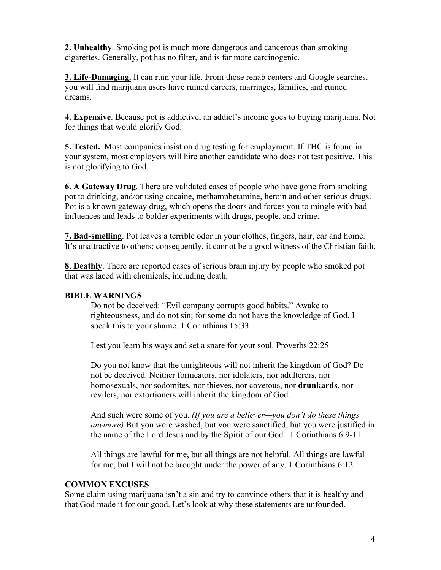**2. Unhealthy**. Smoking pot is much more dangerous and cancerous than smoking cigarettes. Generally, pot has no filter, and is far more carcinogenic.

**3. Life-Damaging.** It can ruin your life. From those rehab centers and Google searches, you will find marijuana users have ruined careers, marriages, families, and ruined dreams.

**4. Expensive**. Because pot is addictive, an addict's income goes to buying marijuana. Not for things that would glorify God.

**5. Tested.** Most companies insist on drug testing for employment. If THC is found in your system, most employers will hire another candidate who does not test positive. This is not glorifying to God.

**6. A Gateway Drug**. There are validated cases of people who have gone from smoking pot to drinking, and/or using cocaine, methamphetamine, heroin and other serious drugs. Pot is a known gateway drug, which opens the doors and forces you to mingle with bad influences and leads to bolder experiments with drugs, people, and crime.

**7. Bad-smelling**. Pot leaves a terrible odor in your clothes, fingers, hair, car and home. It's unattractive to others; consequently, it cannot be a good witness of the Christian faith.

**8. Deathly**. There are reported cases of serious brain injury by people who smoked pot that was laced with chemicals, including death.

### **BIBLE WARNINGS**

Do not be deceived: "Evil company corrupts good habits." Awake to righteousness, and do not sin; for some do not have the knowledge of God. I speak this to your shame. 1 Corinthians 15:33

Lest you learn his ways and set a snare for your soul. Proverbs 22:25

Do you not know that the unrighteous will not inherit the kingdom of God? Do not be deceived. Neither fornicators, nor idolaters, nor adulterers, nor homosexuals, nor sodomites, nor thieves, nor covetous, nor **drunkards**, nor revilers, nor extortioners will inherit the kingdom of God.

And such were some of you. *(If you are a believer—you don't do these things anymore)* But you were washed, but you were sanctified, but you were justified in the name of the Lord Jesus and by the Spirit of our God. 1 Corinthians 6:9-11

All things are lawful for me, but all things are not helpful. All things are lawful for me, but I will not be brought under the power of any. 1 Corinthians 6:12

### **COMMON EXCUSES**

Some claim using marijuana isn't a sin and try to convince others that it is healthy and that God made it for our good. Let's look at why these statements are unfounded.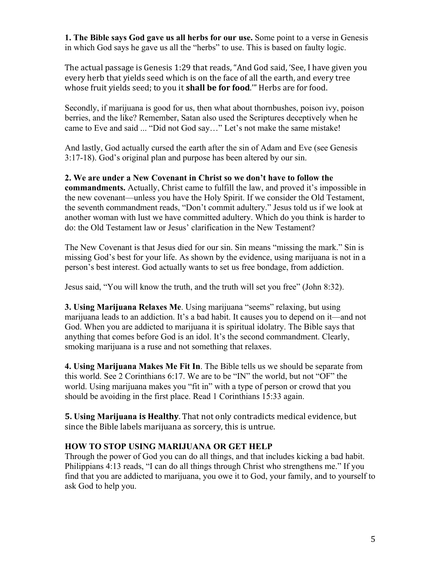**1. The Bible says God gave us all herbs for our use.** Some point to a verse in Genesis in which God says he gave us all the "herbs" to use. This is based on faulty logic.

The actual passage is Genesis 1:29 that reads, "And God said, 'See, I have given you every herb that yields seed which is on the face of all the earth, and every tree whose fruit yields seed; to you it **shall be for food**." Herbs are for food.

Secondly, if marijuana is good for us, then what about thornbushes, poison ivy, poison berries, and the like? Remember, Satan also used the Scriptures deceptively when he came to Eve and said ... "Did not God say…" Let's not make the same mistake!

And lastly, God actually cursed the earth after the sin of Adam and Eve (see Genesis 3:17-18). God's original plan and purpose has been altered by our sin.

**2. We are under a New Covenant in Christ so we don't have to follow the commandments.** Actually, Christ came to fulfill the law, and proved it's impossible in the new covenant—unless you have the Holy Spirit. If we consider the Old Testament, the seventh commandment reads, "Don't commit adultery." Jesus told us if we look at another woman with lust we have committed adultery. Which do you think is harder to do: the Old Testament law or Jesus' clarification in the New Testament?

The New Covenant is that Jesus died for our sin. Sin means "missing the mark." Sin is missing God's best for your life. As shown by the evidence, using marijuana is not in a person's best interest. God actually wants to set us free bondage, from addiction.

Jesus said, "You will know the truth, and the truth will set you free" (John 8:32).

**3. Using Marijuana Relaxes Me**. Using marijuana "seems" relaxing, but using marijuana leads to an addiction. It's a bad habit. It causes you to depend on it—and not God. When you are addicted to marijuana it is spiritual idolatry. The Bible says that anything that comes before God is an idol. It's the second commandment. Clearly, smoking marijuana is a ruse and not something that relaxes.

**4. Using Marijuana Makes Me Fit In**. The Bible tells us we should be separate from this world. See 2 Corinthians 6:17. We are to be "IN" the world, but not "OF" the world. Using marijuana makes you "fit in" with a type of person or crowd that you should be avoiding in the first place. Read 1 Corinthians 15:33 again.

**5.** Using Marijuana is Healthy. That not only contradicts medical evidence, but since the Bible labels marijuana as sorcery, this is untrue.

# **HOW TO STOP USING MARIJUANA OR GET HELP**

Through the power of God you can do all things, and that includes kicking a bad habit. Philippians 4:13 reads, "I can do all things through Christ who strengthens me." If you find that you are addicted to marijuana, you owe it to God, your family, and to yourself to ask God to help you.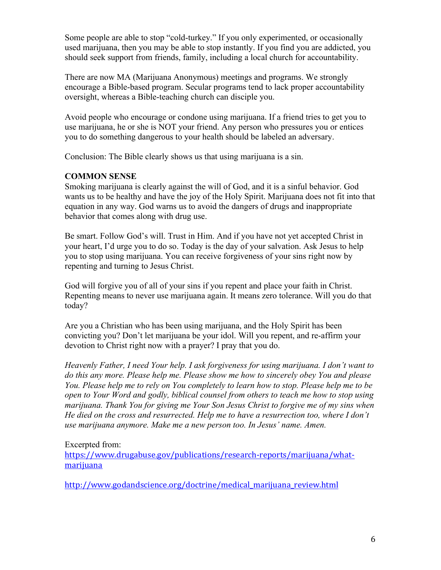Some people are able to stop "cold-turkey." If you only experimented, or occasionally used marijuana, then you may be able to stop instantly. If you find you are addicted, you should seek support from friends, family, including a local church for accountability.

There are now MA (Marijuana Anonymous) meetings and programs. We strongly encourage a Bible-based program. Secular programs tend to lack proper accountability oversight, whereas a Bible-teaching church can disciple you.

Avoid people who encourage or condone using marijuana. If a friend tries to get you to use marijuana, he or she is NOT your friend. Any person who pressures you or entices you to do something dangerous to your health should be labeled an adversary.

Conclusion: The Bible clearly shows us that using marijuana is a sin.

### **COMMON SENSE**

Smoking marijuana is clearly against the will of God, and it is a sinful behavior. God wants us to be healthy and have the joy of the Holy Spirit. Marijuana does not fit into that equation in any way. God warns us to avoid the dangers of drugs and inappropriate behavior that comes along with drug use.

Be smart. Follow God's will. Trust in Him. And if you have not yet accepted Christ in your heart, I'd urge you to do so. Today is the day of your salvation. Ask Jesus to help you to stop using marijuana. You can receive forgiveness of your sins right now by repenting and turning to Jesus Christ.

God will forgive you of all of your sins if you repent and place your faith in Christ. Repenting means to never use marijuana again. It means zero tolerance. Will you do that today?

Are you a Christian who has been using marijuana, and the Holy Spirit has been convicting you? Don't let marijuana be your idol. Will you repent, and re-affirm your devotion to Christ right now with a prayer? I pray that you do.

*Heavenly Father, I need Your help. I ask forgiveness for using marijuana. I don't want to do this any more. Please help me. Please show me how to sincerely obey You and please You. Please help me to rely on You completely to learn how to stop. Please help me to be open to Your Word and godly, biblical counsel from others to teach me how to stop using marijuana. Thank You for giving me Your Son Jesus Christ to forgive me of my sins when He died on the cross and resurrected. Help me to have a resurrection too, where I don't use marijuana anymore. Make me a new person too. In Jesus' name. Amen.*

### Excerpted from:

https://www.drugabuse.gov/publications/research-reports/marijuana/whatmarijuana

http://www.godandscience.org/doctrine/medical\_marijuana\_review.html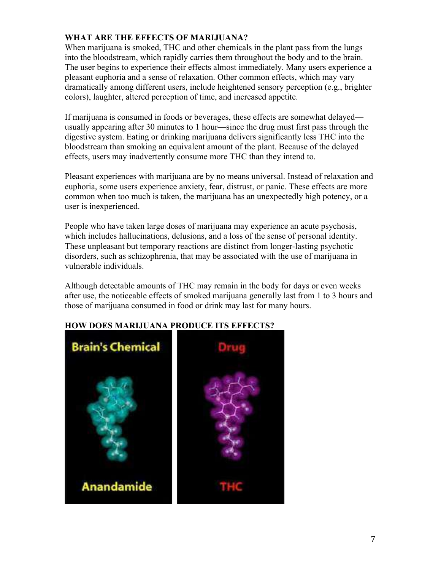### **WHAT ARE THE EFFECTS OF MARIJUANA?**

When marijuana is smoked, THC and other chemicals in the plant pass from the lungs into the bloodstream, which rapidly carries them throughout the body and to the brain. The user begins to experience their effects almost immediately. Many users experience a pleasant euphoria and a sense of relaxation. Other common effects, which may vary dramatically among different users, include heightened sensory perception (e.g., brighter colors), laughter, altered perception of time, and increased appetite.

If marijuana is consumed in foods or beverages, these effects are somewhat delayed usually appearing after 30 minutes to 1 hour—since the drug must first pass through the digestive system. Eating or drinking marijuana delivers significantly less THC into the bloodstream than smoking an equivalent amount of the plant. Because of the delayed effects, users may inadvertently consume more THC than they intend to.

Pleasant experiences with marijuana are by no means universal. Instead of relaxation and euphoria, some users experience anxiety, fear, distrust, or panic. These effects are more common when too much is taken, the marijuana has an unexpectedly high potency, or a user is inexperienced.

People who have taken large doses of marijuana may experience an acute psychosis, which includes hallucinations, delusions, and a loss of the sense of personal identity. These unpleasant but temporary reactions are distinct from longer-lasting psychotic disorders, such as schizophrenia, that may be associated with the use of marijuana in vulnerable individuals.

Although detectable amounts of THC may remain in the body for days or even weeks after use, the noticeable effects of smoked marijuana generally last from 1 to 3 hours and those of marijuana consumed in food or drink may last for many hours.



# **HOW DOES MARIJUANA PRODUCE ITS EFFECTS?**